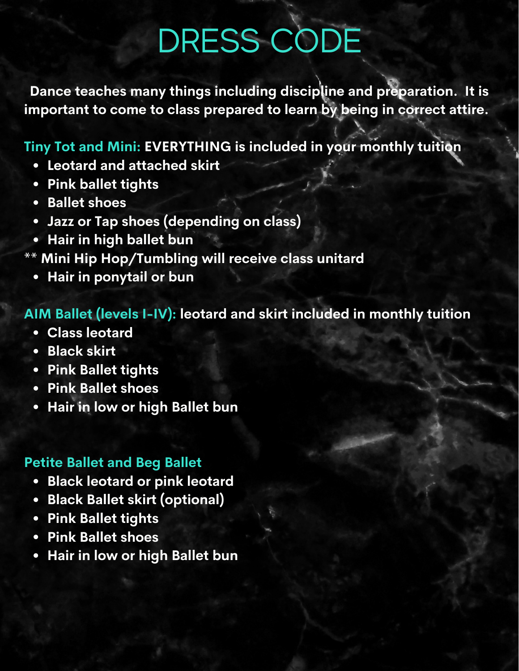# DRESS CODE

**Dance teaches many things including discipline and preparation. It is important to come to class prepared to learn by being in correct attire.**

# **Tiny Tot and Mini: EVERYTHING is included in your monthly tuition**

- **Leotard and attached skirt**
- **Pink ballet tights**
- **Ballet shoes**
- **Jazz or Tap shoes (depending on class)**
- **Hair in high ballet bun**
- **\*\* Mini Hip Hop/Tumbling will receive class unitard**
	- **Hair in ponytail or bun**

# **AIM Ballet (levels I-IV): leotard and skirt included in monthly tuition**

- **Class leotard**
- **Black skirt**
- **Pink Ballet tights**
- **Pink Ballet shoes**
- **Hair in low or high Ballet bun**

#### **Petite Ballet and Beg Ballet**

- **Black leotard or pink leotard**
- **Black Ballet skirt (optional)**
- **Pink Ballet tights**
- **Pink Ballet shoes**
- **Hair in low or high Ballet bun**